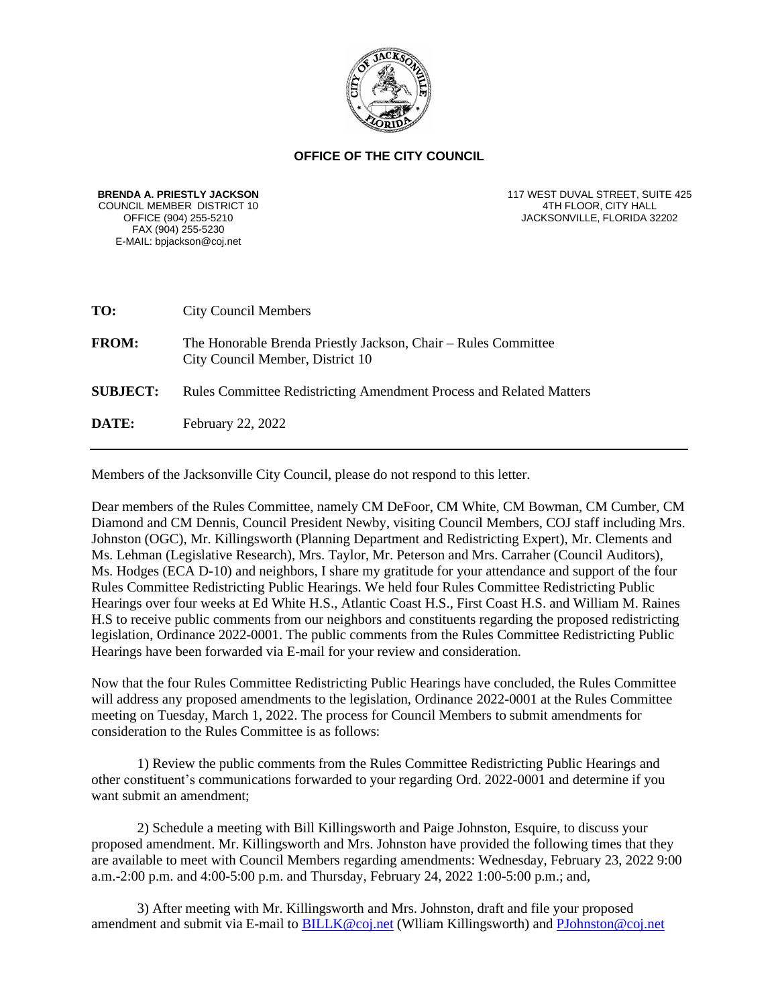

## **OFFICE OF THE CITY COUNCIL**

**BRENDA A. PRIESTLY JACKSON** COUNCIL MEMBER DISTRICT 10<br>OFFICE (904) 255-5210 FAX (904) 255-5230 E-MAIL: bpjackson@coj.net

117 WEST DUVAL STREET, SUITE 425 4TH FLOOR, CITY HALL JACKSONVILLE, FLORIDA 32202

| TO:             | <b>City Council Members</b>                                                                        |
|-----------------|----------------------------------------------------------------------------------------------------|
| <b>FROM:</b>    | The Honorable Brenda Priestly Jackson, Chair – Rules Committee<br>City Council Member, District 10 |
| <b>SUBJECT:</b> | <b>Rules Committee Redistricting Amendment Process and Related Matters</b>                         |
| <b>DATE:</b>    | February 22, 2022                                                                                  |
|                 |                                                                                                    |

Members of the Jacksonville City Council, please do not respond to this letter.

Dear members of the Rules Committee, namely CM DeFoor, CM White, CM Bowman, CM Cumber, CM Diamond and CM Dennis, Council President Newby, visiting Council Members, COJ staff including Mrs. Johnston (OGC), Mr. Killingsworth (Planning Department and Redistricting Expert), Mr. Clements and Ms. Lehman (Legislative Research), Mrs. Taylor, Mr. Peterson and Mrs. Carraher (Council Auditors), Ms. Hodges (ECA D-10) and neighbors, I share my gratitude for your attendance and support of the four Rules Committee Redistricting Public Hearings. We held four Rules Committee Redistricting Public Hearings over four weeks at Ed White H.S., Atlantic Coast H.S., First Coast H.S. and William M. Raines H.S to receive public comments from our neighbors and constituents regarding the proposed redistricting legislation, Ordinance 2022-0001. The public comments from the Rules Committee Redistricting Public Hearings have been forwarded via E-mail for your review and consideration.

Now that the four Rules Committee Redistricting Public Hearings have concluded, the Rules Committee will address any proposed amendments to the legislation, Ordinance 2022-0001 at the Rules Committee meeting on Tuesday, March 1, 2022. The process for Council Members to submit amendments for consideration to the Rules Committee is as follows:

1) Review the public comments from the Rules Committee Redistricting Public Hearings and other constituent's communications forwarded to your regarding Ord. 2022-0001 and determine if you want submit an amendment;

2) Schedule a meeting with Bill Killingsworth and Paige Johnston, Esquire, to discuss your proposed amendment. Mr. Killingsworth and Mrs. Johnston have provided the following times that they are available to meet with Council Members regarding amendments: Wednesday, February 23, 2022 9:00 a.m.-2:00 p.m. and 4:00-5:00 p.m. and Thursday, February 24, 2022 1:00-5:00 p.m.; and,

3) After meeting with Mr. Killingsworth and Mrs. Johnston, draft and file your proposed amendment and submit via E-mail to [BILLK@coj.net](mailto:BILLK@coj.net) (Wlliam Killingsworth) and [PJohnston@coj.net](mailto:PJohnston@coj.net)